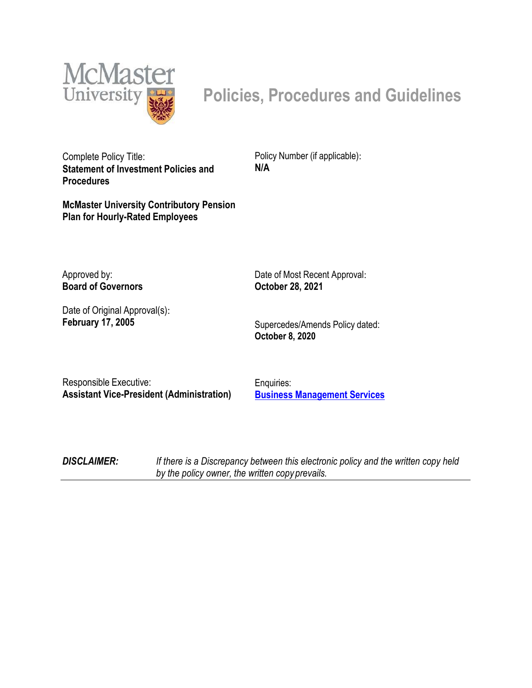

# **Policies, Procedures and Guidelines**

Complete Policy Title: **Statement of Investment Policies and Procedures**

**McMaster University Contributory Pension Plan for Hourly-Rated Employees**

Policy Number (if applicable): **N/A**

Approved by: **Board of Governors**

Date of Original Approval(s): **February 17, 2005**

Date of Most Recent Approval:  **October 28, 2021**

Supercedes/Amends Policy dated: **October 8, 2020**

Responsible Executive: **Assistant Vice-President (Administration)**

Enquiries: **Business Management Services**

*DISCLAIMER: If there is a Discrepancy between this electronic policy and the written copy held by the policy owner, the written copy prevails.*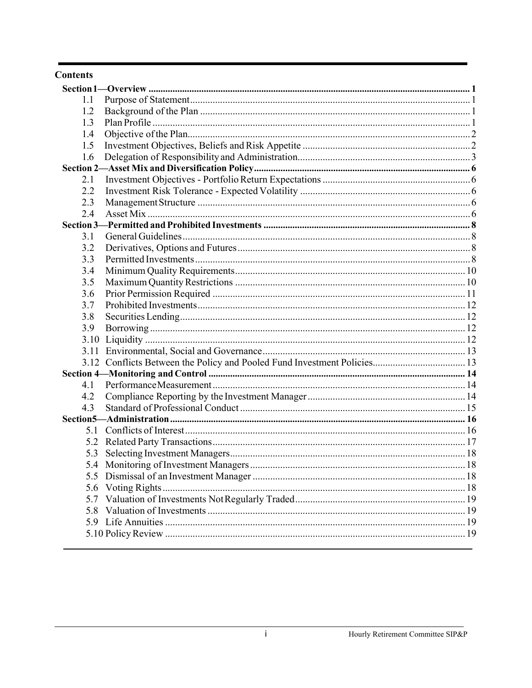#### **Contents**

| 1.1  |  |  |  |  |  |
|------|--|--|--|--|--|
| 1.2  |  |  |  |  |  |
| 1.3  |  |  |  |  |  |
| 1.4  |  |  |  |  |  |
| 1.5  |  |  |  |  |  |
| 1.6  |  |  |  |  |  |
|      |  |  |  |  |  |
| 2.1  |  |  |  |  |  |
| 2.2  |  |  |  |  |  |
| 2.3  |  |  |  |  |  |
| 2.4  |  |  |  |  |  |
|      |  |  |  |  |  |
| 3.1  |  |  |  |  |  |
| 3.2  |  |  |  |  |  |
| 3.3  |  |  |  |  |  |
| 3.4  |  |  |  |  |  |
| 3.5  |  |  |  |  |  |
| 3.6  |  |  |  |  |  |
| 3.7  |  |  |  |  |  |
| 3.8  |  |  |  |  |  |
| 3.9  |  |  |  |  |  |
| 3.10 |  |  |  |  |  |
|      |  |  |  |  |  |
|      |  |  |  |  |  |
|      |  |  |  |  |  |
| 4.1  |  |  |  |  |  |
| 4.2  |  |  |  |  |  |
| 4.3  |  |  |  |  |  |
|      |  |  |  |  |  |
| 5.1  |  |  |  |  |  |
|      |  |  |  |  |  |
| 5.3  |  |  |  |  |  |
|      |  |  |  |  |  |
|      |  |  |  |  |  |
| 5.6  |  |  |  |  |  |
| 5.7  |  |  |  |  |  |
| 5.8  |  |  |  |  |  |
|      |  |  |  |  |  |
|      |  |  |  |  |  |
|      |  |  |  |  |  |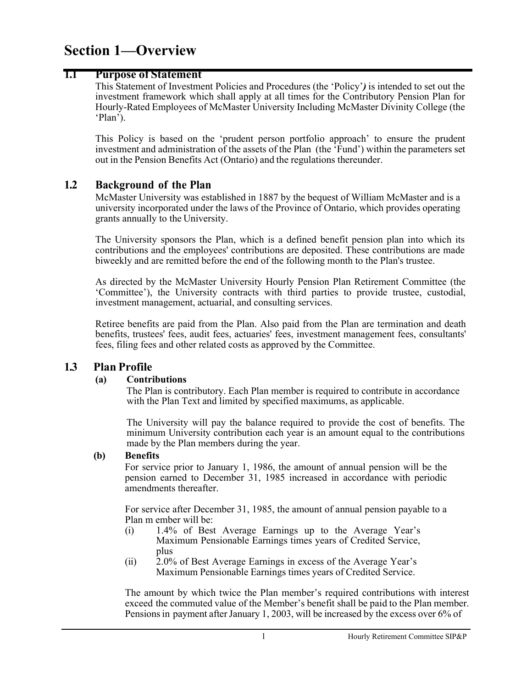# <span id="page-2-0"></span>**Section 1—Overview**

### <span id="page-2-1"></span>**1.1 Purpose of Statement**

This Statement of Investment Policies and Procedures (the 'Policy'*)* is intended to set out the investment framework which shall apply at all times for the Contributory Pension Plan for Hourly-Rated Employees of McMaster University Including McMaster Divinity College (the 'Plan').

This Policy is based on the 'prudent person portfolio approach' to ensure the prudent investment and administration of the assets of the Plan (the 'Fund') within the parameters set out in the Pension Benefits Act (Ontario) and the regulations thereunder.

### <span id="page-2-2"></span>**1.2 Background of the Plan**

McMaster University was established in 1887 by the bequest of William McMaster and is a university incorporated under the laws of the Province of Ontario, which provides operating grants annually to the University.

The University sponsors the Plan, which is a defined benefit pension plan into which its contributions and the employees' contributions are deposited. These contributions are made biweekly and are remitted before the end of the following month to the Plan's trustee.

As directed by the McMaster University Hourly Pension Plan Retirement Committee (the 'Committee'), the University contracts with third parties to provide trustee, custodial, investment management, actuarial, and consulting services.

Retiree benefits are paid from the Plan. Also paid from the Plan are termination and death benefits, trustees' fees, audit fees, actuaries' fees, investment management fees, consultants' fees, filing fees and other related costs as approved by the Committee.

#### <span id="page-2-3"></span>**1.3 Plan Profile**

#### **(a) Contributions**

The Plan is contributory. Each Plan member is required to contribute in accordance with the Plan Text and limited by specified maximums, as applicable.

The University will pay the balance required to provide the cost of benefits. The minimum University contribution each year is an amount equal to the contributions made by the Plan members during the year.

#### **(b) Benefits**

For service prior to January 1, 1986, the amount of annual pension will be the pension earned to December 31, 1985 increased in accordance with periodic amendments thereafter.

For service after December 31, 1985, the amount of annual pension payable to a Plan m ember will be:

- (i) 1.4% of Best Average Earnings up to the Average Year's Maximum Pensionable Earnings times years of Credited Service, plus
- (ii) 2.0% of Best Average Earnings in excess of the Average Year's Maximum Pensionable Earnings times years of Credited Service.

The amount by which twice the Plan member's required contributions with interest exceed the commuted value of the Member's benefit shall be paid to the Plan member. Pensionsin payment afterJanuary 1, 2003, will be increased by the excess over 6% of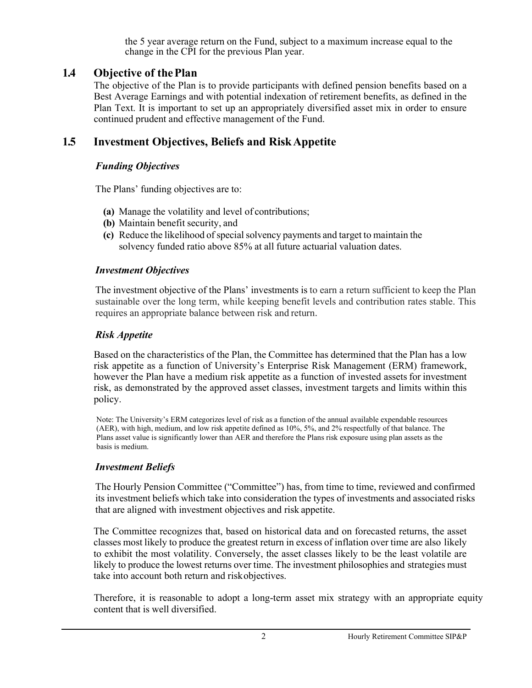the 5 year average return on the Fund, subject to a maximum increase equal to the change in the CPI for the previous Plan year.

## <span id="page-3-0"></span>**1.4 Objective of thePlan**

The objective of the Plan is to provide participants with defined pension benefits based on a Best Average Earnings and with potential indexation of retirement benefits, as defined in the Plan Text. It is important to set up an appropriately diversified asset mix in order to ensure continued prudent and effective management of the Fund.

# <span id="page-3-1"></span>**1.5 Investment Objectives, Beliefs and RiskAppetite**

## *Funding Objectives*

The Plans' funding objectives are to:

- **(a)** Manage the volatility and level of contributions;
- **(b)** Maintain benefit security, and
- **(c)** Reduce the likelihood of special solvency payments and target to maintain the solvency funded ratio above 85% at all future actuarial valuation dates.

### *Investment Objectives*

The investment objective of the Plans' investments is to earn a return sufficient to keep the Plan sustainable over the long term, while keeping benefit levels and contribution rates stable. This requires an appropriate balance between risk and return.

## *Risk Appetite*

Based on the characteristics of the Plan, the Committee has determined that the Plan has a low risk appetite as a function of University's Enterprise Risk Management (ERM) framework, however the Plan have a medium risk appetite as a function of invested assets for investment risk, as demonstrated by the approved asset classes, investment targets and limits within this policy.

Note: The University's ERM categorizes level of risk as a function of the annual available expendable resources (AER), with high, medium, and low risk appetite defined as 10%, 5%, and 2% respectfully of that balance. The Plans asset value is significantly lower than AER and therefore the Plans risk exposure using plan assets as the basis is medium.

#### *Investment Beliefs*

The Hourly Pension Committee ("Committee") has, from time to time, reviewed and confirmed its investment beliefs which take into consideration the types of investments and associated risks that are aligned with investment objectives and risk appetite.

The Committee recognizes that, based on historical data and on forecasted returns, the asset classes most likely to produce the greatest return in excess of inflation over time are also likely to exhibit the most volatility. Conversely, the asset classes likely to be the least volatile are likely to produce the lowest returns over time. The investment philosophies and strategies must take into account both return and riskobjectives.

Therefore, it is reasonable to adopt a long-term asset mix strategy with an appropriate equity content that is well diversified.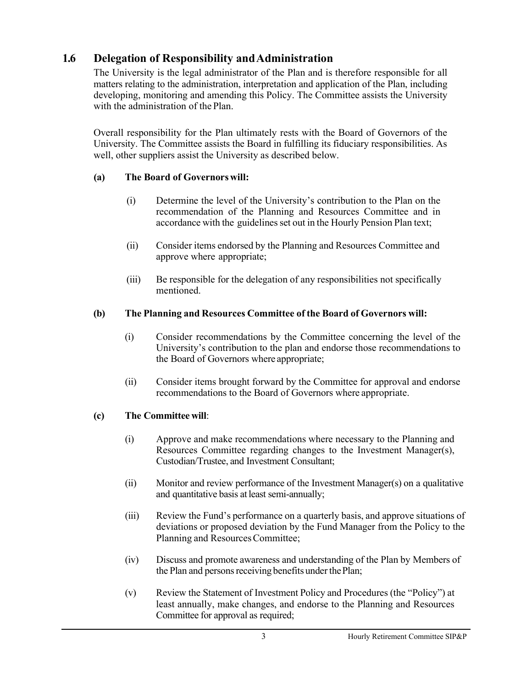# <span id="page-4-0"></span>**1.6 Delegation of Responsibility andAdministration**

The University is the legal administrator of the Plan and is therefore responsible for all matters relating to the administration, interpretation and application of the Plan, including developing, monitoring and amending this Policy. The Committee assists the University with the administration of the Plan.

Overall responsibility for the Plan ultimately rests with the Board of Governors of the University. The Committee assists the Board in fulfilling its fiduciary responsibilities. As well, other suppliers assist the University as described below.

### **(a) The Board of Governorswill:**

- (i) Determine the level of the University's contribution to the Plan on the recommendation of the Planning and Resources Committee and in accordance with the guidelines set out in the Hourly Pension Plan text;
- (ii) Consider items endorsed by the Planning and Resources Committee and approve where appropriate;
- (iii) Be responsible for the delegation of any responsibilities not specifically mentioned.

### **(b) The Planning and Resources Committee of the Board of Governors will:**

- (i) Consider recommendations by the Committee concerning the level of the University's contribution to the plan and endorse those recommendations to the Board of Governors where appropriate;
- (ii) Consider items brought forward by the Committee for approval and endorse recommendations to the Board of Governors where appropriate.

#### **(c) The Committee will**:

- (i) Approve and make recommendations where necessary to the Planning and Resources Committee regarding changes to the Investment Manager(s), Custodian/Trustee, and Investment Consultant;
- (ii) Monitor and review performance of the Investment Manager(s) on a qualitative and quantitative basis atleast semi-annually;
- (iii) Review the Fund's performance on a quarterly basis, and approve situations of deviations or proposed deviation by the Fund Manager from the Policy to the Planning and Resources Committee;
- (iv) Discuss and promote awareness and understanding of the Plan by Members of the Plan and persons receiving benefits under the Plan;
- (v) Review the Statement of Investment Policy and Procedures (the "Policy") at least annually, make changes, and endorse to the Planning and Resources Committee for approval as required;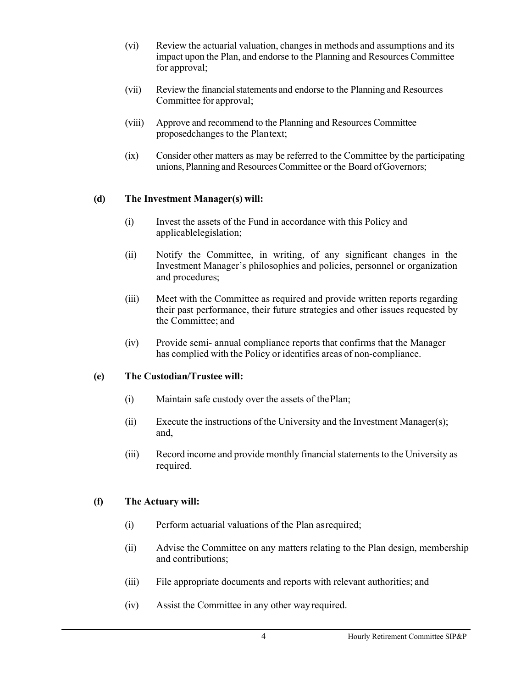- (vi) Review the actuarial valuation, changesin methods and assumptions and its impact upon the Plan, and endorse to the Planning and Resources Committee for approval;
- (vii) Review the financial statements and endorse to the Planning and Resources Committee for approval;
- (viii) Approve and recommend to the Planning and Resources Committee proposedchanges to the Plantext;
- (ix) Consider other matters as may be referred to the Committee by the participating unions, Planning and Resources Committee or the Board of Governors;

#### **(d) The Investment Manager(s) will:**

- (i) Invest the assets of the Fund in accordance with this Policy and applicablelegislation;
- (ii) Notify the Committee, in writing, of any significant changes in the Investment Manager's philosophies and policies, personnel or organization and procedures;
- (iii) Meet with the Committee as required and provide written reports regarding their past performance, their future strategies and other issues requested by the Committee; and
- (iv) Provide semi- annual compliance reports that confirms that the Manager has complied with the Policy or identifies areas of non-compliance.

#### **(e) The Custodian/Trustee will:**

- (i) Maintain safe custody over the assets of thePlan;
- (ii) Execute the instructions of the University and the Investment Manager(s); and,
- (iii) Record income and provide monthly financial statementsto the University as required.

#### **(f) The Actuary will:**

- (i) Perform actuarial valuations of the Plan asrequired;
- (ii) Advise the Committee on any matters relating to the Plan design, membership and contributions;
- (iii) File appropriate documents and reports with relevant authorities; and
- (iv) Assist the Committee in any other wayrequired.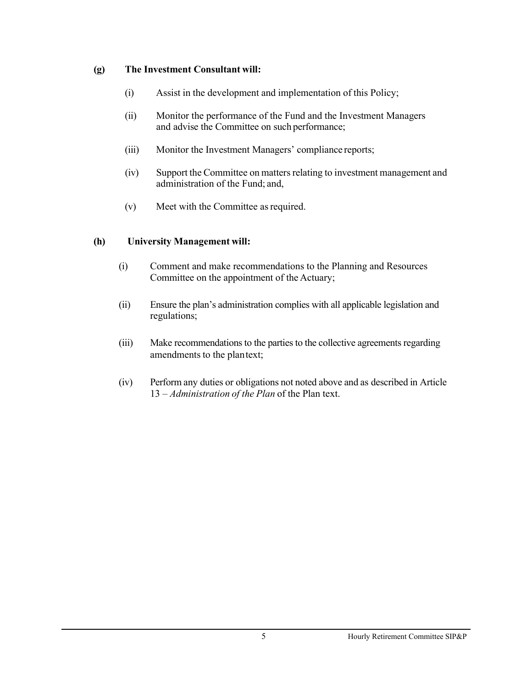#### **(g) The Investment Consultant will:**

- (i) Assist in the development and implementation of this Policy;
- (ii) Monitor the performance of the Fund and the Investment Managers and advise the Committee on such performance;
- (iii) Monitor the Investment Managers' compliance reports;
- (iv) Support the Committee on matters relating to investment management and administration of the Fund; and,
- (v) Meet with the Committee as required.

#### **(h) University Management will:**

- (i) Comment and make recommendations to the Planning and Resources Committee on the appointment of the Actuary;
- (ii) Ensure the plan's administration complies with all applicable legislation and regulations;
- (iii) Make recommendations to the parties to the collective agreements regarding amendments to the plantext;
- (iv) Perform any duties or obligations not noted above and as described in Article 13 – *Administration of the Plan* of the Plan text.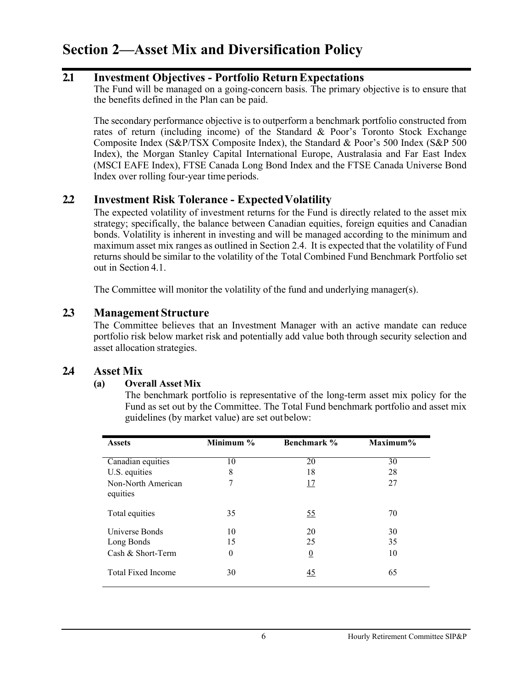# <span id="page-7-0"></span>**Section 2—Asset Mix and Diversification Policy**

## <span id="page-7-1"></span>**2.1 Investment Objectives - Portfolio ReturnExpectations**

The Fund will be managed on a going-concern basis. The primary objective is to ensure that the benefits defined in the Plan can be paid.

The secondary performance objective is to outperform a benchmark portfolio constructed from rates of return (including income) of the Standard & Poor's Toronto Stock Exchange Composite Index (S&P/TSX Composite Index), the Standard & Poor's 500 Index (S&P 500 Index), the Morgan Stanley Capital International Europe, Australasia and Far East Index (MSCI EAFE Index), FTSE Canada Long Bond Index and the FTSE Canada Universe Bond Index over rolling four-year time periods.

## <span id="page-7-2"></span>**2.2 Investment Risk Tolerance - ExpectedVolatility**

The expected volatility of investment returns for the Fund is directly related to the asset mix strategy; specifically, the balance between Canadian equities, foreign equities and Canadian bonds. Volatility is inherent in investing and will be managed according to the minimum and maximum asset mix ranges as outlined in Section 2.4. It is expected that the volatility of Fund returns should be similar to the volatility of the Total Combined Fund Benchmark Portfolio set out in Section 4.1.

The Committee will monitor the volatility of the fund and underlying manager(s).

### <span id="page-7-3"></span>**2.3 Management Structure**

The Committee believes that an Investment Manager with an active mandate can reduce portfolio risk below market risk and potentially add value both through security selection and asset allocation strategies.

## <span id="page-7-4"></span>**2.4 Asset Mix**

#### **(a) Overall Asset Mix**

The benchmark portfolio is representative of the long-term asset mix policy for the Fund as set out by the Committee. The Total Fund benchmark portfolio and asset mix guidelines (by market value) are set outbelow:

| <b>Assets</b>                  | Minimum %        | Benchmark %    | Maximum% |
|--------------------------------|------------------|----------------|----------|
| Canadian equities              | 10               | 20             | 30       |
| U.S. equities                  | 8                | 18             | 28       |
| Non-North American<br>equities | 7                | <u>17</u>      | 27       |
| Total equities                 | 35               | <u>55</u>      | 70       |
| Universe Bonds                 | 10               | 20             | 30       |
| Long Bonds                     | 15               | 25             | 35       |
| Cash & Short-Term              | $\boldsymbol{0}$ | $\overline{0}$ | 10       |
| <b>Total Fixed Income</b>      | 30               | $\frac{45}{5}$ | 65       |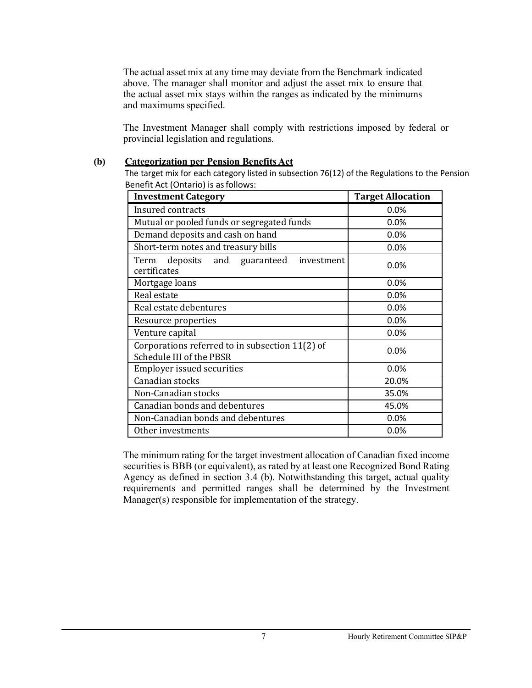The actual asset mix at any time may deviate from the Benchmark indicated above. The manager shall monitor and adjust the asset mix to ensure that the actual asset mix stays within the ranges as indicated by the minimums and maximums specified.

The Investment Manager shall comply with restrictions imposed by federal or provincial legislation and regulations*.*

#### **(b) Categorization per Pension Benefits Act**

The target mix for each category listed in subsection 76(12) of the Regulations to the Pension Benefit Act (Ontario) is asfollows:

| <b>Investment Category</b>                                                  | <b>Target Allocation</b> |
|-----------------------------------------------------------------------------|--------------------------|
| Insured contracts                                                           | 0.0%                     |
| Mutual or pooled funds or segregated funds                                  | 0.0%                     |
| Demand deposits and cash on hand                                            | 0.0%                     |
| Short-term notes and treasury bills                                         | 0.0%                     |
| deposits and guaranteed<br>Term<br>investment<br>certificates               | $0.0\%$                  |
| Mortgage loans                                                              | 0.0%                     |
| Real estate                                                                 | 0.0%                     |
| Real estate debentures                                                      | 0.0%                     |
| Resource properties                                                         | 0.0%                     |
| Venture capital                                                             | 0.0%                     |
| Corporations referred to in subsection 11(2) of<br>Schedule III of the PBSR | 0.0%                     |
| <b>Employer issued securities</b>                                           | 0.0%                     |
| Canadian stocks                                                             | 20.0%                    |
| Non-Canadian stocks                                                         | 35.0%                    |
| Canadian bonds and debentures                                               | 45.0%                    |
| Non-Canadian bonds and debentures                                           | 0.0%                     |
| Other investments                                                           | 0.0%                     |

The minimum rating for the target investment allocation of Canadian fixed income securities is BBB (or equivalent), as rated by at least one Recognized Bond Rating Agency as defined in section 3.4 (b). Notwithstanding this target, actual quality requirements and permitted ranges shall be determined by the Investment Manager(s) responsible for implementation of the strategy.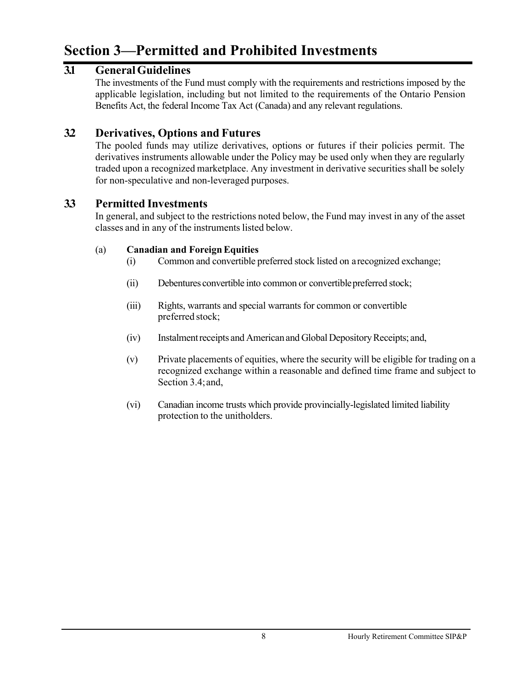# <span id="page-9-0"></span>**Section 3—Permitted and Prohibited Investments**

# <span id="page-9-1"></span>**3.1 GeneralGuidelines**

The investments of the Fund must comply with the requirements and restrictions imposed by the applicable legislation, including but not limited to the requirements of the Ontario Pension Benefits Act, the federal Income Tax Act (Canada) and any relevant regulations.

# <span id="page-9-2"></span>**3.2 Derivatives, Options and Futures**

The pooled funds may utilize derivatives, options or futures if their policies permit. The derivatives instruments allowable under the Policy may be used only when they are regularly traded upon a recognized marketplace. Any investment in derivative securities shall be solely for non-speculative and non-leveraged purposes.

## <span id="page-9-3"></span>**3.3 Permitted Investments**

In general, and subject to the restrictions noted below, the Fund may invest in any of the asset classes and in any of the instruments listed below.

#### (a) **Canadian and ForeignEquities**

- (i) Common and convertible preferred stock listed on arecognized exchange;
- (ii) Debentures convertible into common or convertible preferred stock;
- (iii) Rights, warrants and special warrants for common or convertible preferred stock;
- (iv) Instalmentreceipts and American and Global DepositoryReceipts; and,
- (v) Private placements of equities, where the security will be eligible for trading on a recognized exchange within a reasonable and defined time frame and subject to Section 3.4;and,
- (vi) Canadian income trusts which provide provincially-legislated limited liability protection to the unitholders.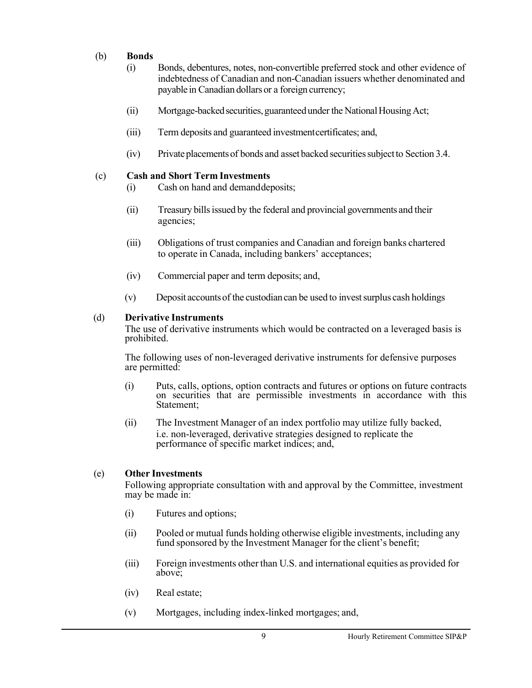#### (b) **Bonds**

- (i) Bonds, debentures, notes, non-convertible preferred stock and other evidence of indebtedness of Canadian and non-Canadian issuers whether denominated and payable in Canadian dollars or a foreign currency;
- (ii) Mortgage-backed securities, guaranteed under the National Housing Act;
- (iii) Term deposits and guaranteed investmentcertificates; and,
- $(iv)$  Private placements of bonds and asset backed securities subject to Section 3.4.

#### (c) **Cash and Short Term Investments**

- (i) Cash on hand and demanddeposits;
- (ii) Treasury bills issued by the federal and provincial governments and their agencies;
- (iii) Obligations of trust companies and Canadian and foreign banks chartered to operate in Canada, including bankers' acceptances;
- (iv) Commercial paper and term deposits; and,
- $(v)$  Deposit accounts of the custodian can be used to invest surplus cash holdings

#### (d) **Derivative Instruments**

The use of derivative instruments which would be contracted on a leveraged basis is prohibited.

The following uses of non-leveraged derivative instruments for defensive purposes are permitted:

- (i) Puts, calls, options, option contracts and futures or options on future contracts on securities that are permissible investments in accordance with this Statement;
- (ii) The Investment Manager of an index portfolio may utilize fully backed, i.e. non-leveraged, derivative strategies designed to replicate the performance of specific market indices; and,

#### (e) **Other Investments**

Following appropriate consultation with and approval by the Committee, investment may be made in:

- (i) Futures and options;
- (ii) Pooled or mutual funds holding otherwise eligible investments, including any fund sponsored by the Investment Manager for the client's benefit;
- (iii) Foreign investments other than U.S. and international equities as provided for above;
- (iv) Real estate;
- (v) Mortgages, including index-linked mortgages; and,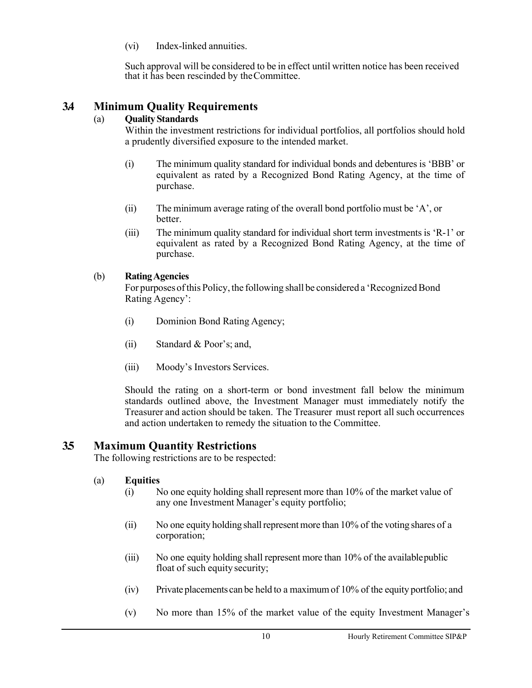(vi) Index-linked annuities.

Such approval will be considered to be in effect until written notice has been received that it has been rescinded by theCommittee.

## <span id="page-11-0"></span>**3.4 Minimum Quality Requirements**

#### (a) **QualityStandards**

Within the investment restrictions for individual portfolios, all portfolios should hold a prudently diversified exposure to the intended market.

- (i) The minimum quality standard for individual bonds and debentures is 'BBB' or equivalent as rated by a Recognized Bond Rating Agency, at the time of purchase.
- (ii) The minimum average rating of the overall bond portfolio must be 'A', or better.
- (iii) The minimum quality standard for individual short term investmentsis 'R-1' or equivalent as rated by a Recognized Bond Rating Agency, at the time of purchase.

### (b) **RatingAgencies**

For purposes of this Policy, the following shall be considered a 'Recognized Bond Rating Agency':

- (i) Dominion Bond Rating Agency;
- (ii) Standard & Poor's; and,
- (iii) Moody's Investors Services.

Should the rating on a short-term or bond investment fall below the minimum standards outlined above, the Investment Manager must immediately notify the Treasurer and action should be taken. The Treasurer must report all such occurrences and action undertaken to remedy the situation to the Committee.

## <span id="page-11-1"></span>**3.5 Maximum Quantity Restrictions**

The following restrictions are to be respected:

#### (a) **Equities**

- (i) No one equity holding shall represent more than 10% of the market value of any one Investment Manager's equity portfolio;
- (ii) No one equity holding shallrepresentmore than 10% of the voting shares of a corporation;
- (iii) No one equity holding shall represent more than 10% of the availablepublic float of such equity security;
- (iv) Private placements can be held to a maximumof 10% of the equity portfolio; and
- (v) No more than 15% of the market value of the equity Investment Manager's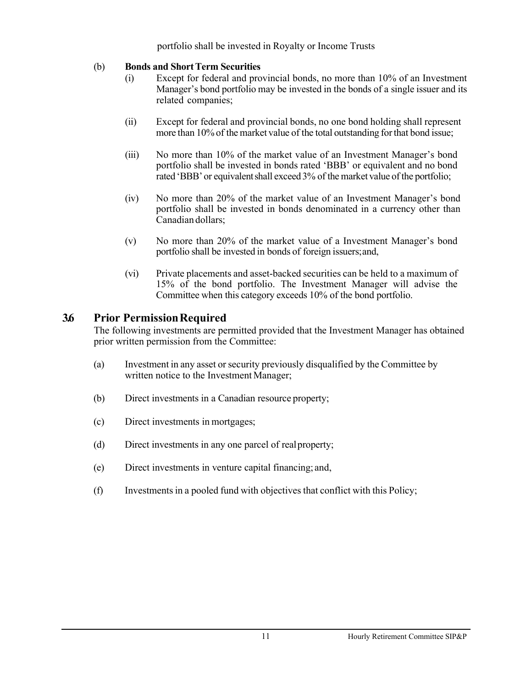portfolio shall be invested in Royalty or Income Trusts

#### (b) **Bonds and ShortTerm Securities**

- (i) Except for federal and provincial bonds, no more than 10% of an Investment Manager's bond portfolio may be invested in the bonds of a single issuer and its related companies;
- (ii) Except for federal and provincial bonds, no one bond holding shall represent more than 10% of the market value of the total outstanding forthat bond issue;
- (iii) No more than 10% of the market value of an Investment Manager's bond portfolio shall be invested in bonds rated 'BBB' or equivalent and no bond rated 'BBB' or equivalent shall exceed 3% of the market value of the portfolio;
- (iv) No more than 20% of the market value of an Investment Manager's bond portfolio shall be invested in bonds denominated in a currency other than Canadian dollars;
- (v) No more than 20% of the market value of a Investment Manager's bond portfolio shall be invested in bonds of foreign issuers;and,
- (vi) Private placements and asset-backed securities can be held to a maximum of 15% of the bond portfolio. The Investment Manager will advise the Committee when this category exceeds 10% of the bond portfolio.

## <span id="page-12-0"></span>**3.6 Prior PermissionRequired**

The following investments are permitted provided that the Investment Manager has obtained prior written permission from the Committee:

- (a) Investment in any asset orsecurity previously disqualified by the Committee by written notice to the Investment Manager;
- (b) Direct investments in a Canadian resource property;
- (c) Direct investments in mortgages;
- (d) Direct investments in any one parcel of realproperty;
- (e) Direct investments in venture capital financing; and,
- (f) Investmentsin a pooled fund with objectives that conflict with this Policy;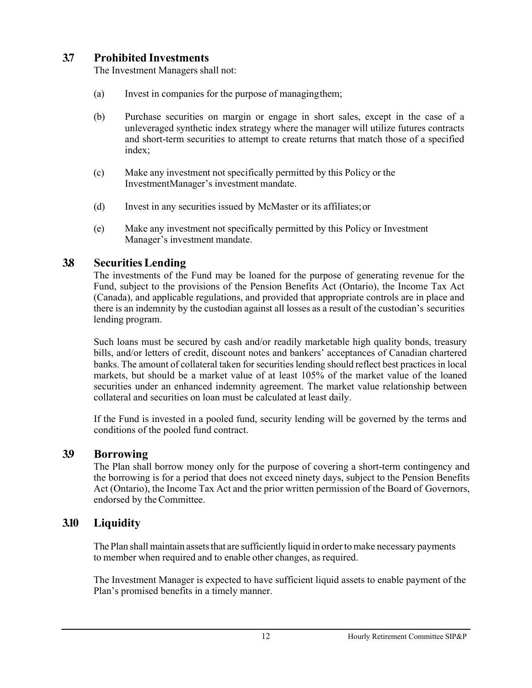# <span id="page-13-0"></span>**3.7 Prohibited Investments**

The Investment Managers shall not:

- (a) Invest in companies for the purpose of managingthem;
- (b) Purchase securities on margin or engage in short sales, except in the case of a unleveraged synthetic index strategy where the manager will utilize futures contracts and short-term securities to attempt to create returns that match those of a specified index;
- (c) Make any investment not specifically permitted by this Policy or the InvestmentManager's investment mandate.
- (d) Invest in any securities issued by McMaster or its affiliates;or
- (e) Make any investment not specifically permitted by this Policy or Investment Manager's investment mandate.

# <span id="page-13-1"></span>**3.8 Securities Lending**

The investments of the Fund may be loaned for the purpose of generating revenue for the Fund, subject to the provisions of the Pension Benefits Act (Ontario), the Income Tax Act (Canada), and applicable regulations, and provided that appropriate controls are in place and there is an indemnity by the custodian against all losses as a result of the custodian's securities lending program.

Such loans must be secured by cash and/or readily marketable high quality bonds, treasury bills, and/or letters of credit, discount notes and bankers' acceptances of Canadian chartered banks. The amount of collateral taken for securitieslending should reflect best practices in local markets, but should be a market value of at least 105% of the market value of the loaned securities under an enhanced indemnity agreement. The market value relationship between collateral and securities on loan must be calculated at least daily.

If the Fund is invested in a pooled fund, security lending will be governed by the terms and conditions of the pooled fund contract.

# <span id="page-13-2"></span>**3.9 Borrowing**

The Plan shall borrow money only for the purpose of covering a short-term contingency and the borrowing is for a period that does not exceed ninety days, subject to the Pension Benefits Act (Ontario), the Income Tax Act and the prior written permission of the Board of Governors, endorsed by the Committee.

# <span id="page-13-3"></span>**3.10 Liquidity**

The Plan shall maintain assets that are sufficiently liquid in order to make necessary payments to member when required and to enable other changes, as required.

The Investment Manager is expected to have sufficient liquid assets to enable payment of the Plan's promised benefits in a timely manner.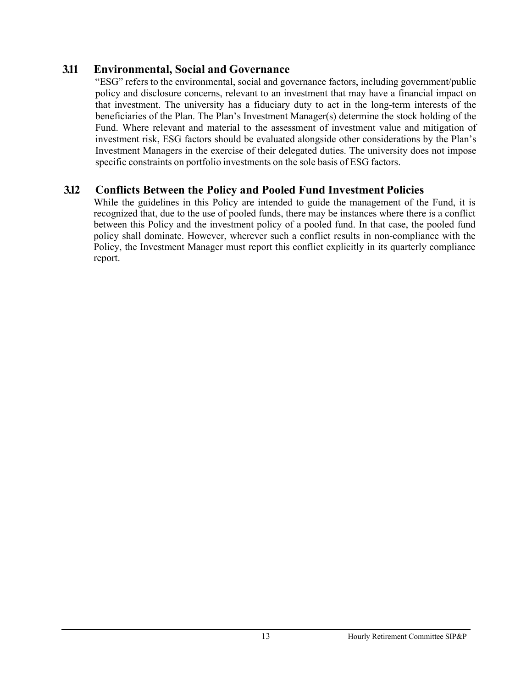## <span id="page-14-0"></span>**3.11 Environmental, Social and Governance**

"ESG" refers to the environmental, social and governance factors, including government/public policy and disclosure concerns, relevant to an investment that may have a financial impact on that investment. The university has a fiduciary duty to act in the long-term interests of the beneficiaries of the Plan. The Plan's Investment Manager(s) determine the stock holding of the Fund. Where relevant and material to the assessment of investment value and mitigation of investment risk, ESG factors should be evaluated alongside other considerations by the Plan's Investment Managers in the exercise of their delegated duties. The university does not impose specific constraints on portfolio investments on the sole basis of ESG factors.

# <span id="page-14-1"></span>**3.12 Conflicts Between the Policy and Pooled Fund Investment Policies**

While the guidelines in this Policy are intended to guide the management of the Fund, it is recognized that, due to the use of pooled funds, there may be instances where there is a conflict between this Policy and the investment policy of a pooled fund. In that case, the pooled fund policy shall dominate. However, wherever such a conflict results in non-compliance with the Policy, the Investment Manager must report this conflict explicitly in its quarterly compliance report.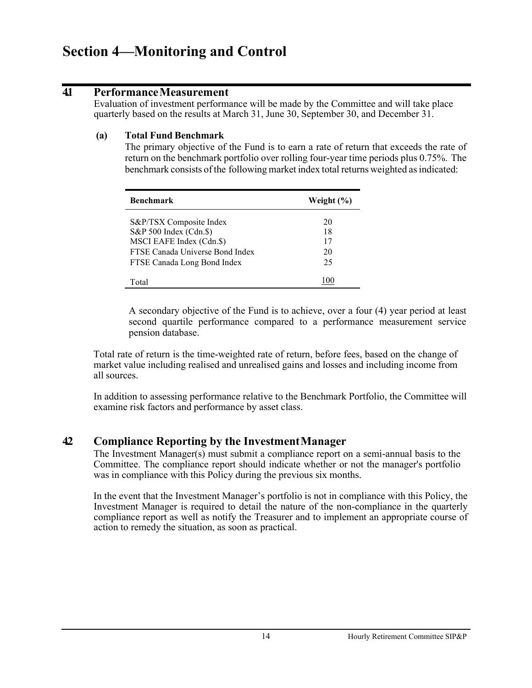# <span id="page-15-0"></span>**Section 4—Monitoring and Control**

## <span id="page-15-1"></span>**4.1 PerformanceMeasurement**

Evaluation of investment performance will be made by the Committee and will take place quarterly based on the results at March 31, June 30, September 30, and December 31.

#### **(a) Total Fund Benchmark**

The primary objective of the Fund is to earn a rate of return that exceeds the rate of return on the benchmark portfolio over rolling four-year time periods plus 0.75%. The benchmark consists of the following market index total returns weighted as indicated:

| <b>Benchmark</b>                | Weight $(\% )$ |
|---------------------------------|----------------|
| S&P/TSX Composite Index         | 20             |
| S&P 500 Index (Cdn.\$)          | 18             |
| MSCI EAFE Index (Cdn.\$)        | 17             |
| FTSE Canada Universe Bond Index | 20             |
| FTSE Canada Long Bond Index     | 25             |
| Total                           |                |

A secondary objective of the Fund is to achieve, over a four (4) year period at least second quartile performance compared to a performance measurement service pension database.

Total rate of return is the time-weighted rate of return, before fees, based on the change of market value including realised and unrealised gains and losses and including income from all sources.

In addition to assessing performance relative to the Benchmark Portfolio, the Committee will examine risk factors and performance by asset class.

## <span id="page-15-2"></span>**4.2 Compliance Reporting by the InvestmentManager**

The Investment Manager(s) must submit a compliance report on a semi-annual basis to the Committee. The compliance report should indicate whether or not the manager's portfolio was in compliance with this Policy during the previous six months.

In the event that the Investment Manager's portfolio is not in compliance with this Policy, the Investment Manager is required to detail the nature of the non-compliance in the quarterly compliance report as well as notify the Treasurer and to implement an appropriate course of action to remedy the situation, as soon as practical.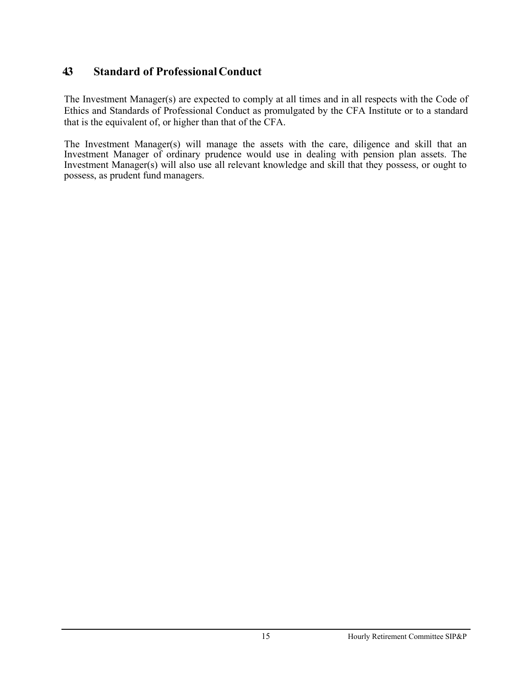# <span id="page-16-0"></span>**4.3 Standard of ProfessionalConduct**

The Investment Manager(s) are expected to comply at all times and in all respects with the Code of Ethics and Standards of Professional Conduct as promulgated by the CFA Institute or to a standard that is the equivalent of, or higher than that of the CFA.

The Investment Manager(s) will manage the assets with the care, diligence and skill that an Investment Manager of ordinary prudence would use in dealing with pension plan assets. The Investment Manager(s) will also use all relevant knowledge and skill that they possess, or ought to possess, as prudent fund managers.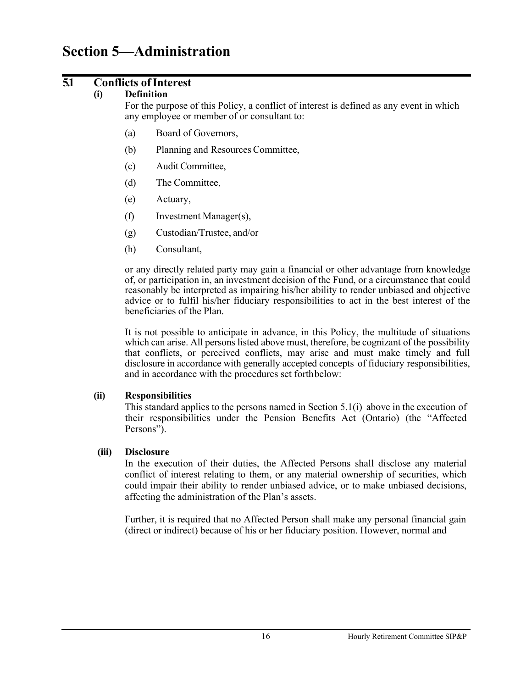# <span id="page-17-0"></span>**Section 5—Administration**

## <span id="page-17-1"></span>**5.1 Conflicts ofInterest**

#### **(i) Definition**

For the purpose of this Policy, a conflict of interest is defined as any event in which any employee or member of or consultant to:

- (a) Board of Governors,
- (b) Planning and Resources Committee,
- (c) Audit Committee,
- (d) The Committee,
- (e) Actuary,
- (f) Investment Manager(s),
- (g) Custodian/Trustee, and/or
- (h) Consultant,

or any directly related party may gain a financial or other advantage from knowledge of, or participation in, an investment decision of the Fund, or a circumstance that could reasonably be interpreted as impairing his/her ability to render unbiased and objective advice or to fulfil his/her fiduciary responsibilities to act in the best interest of the beneficiaries of the Plan.

It is not possible to anticipate in advance, in this Policy, the multitude of situations which can arise. All persons listed above must, therefore, be cognizant of the possibility that conflicts, or perceived conflicts, may arise and must make timely and full disclosure in accordance with generally accepted concepts of fiduciary responsibilities, and in accordance with the procedures set forthbelow:

#### **(ii) Responsibilities**

This standard applies to the persons named in Section 5.1(i) above in the execution of their responsibilities under the Pension Benefits Act (Ontario) (the "Affected Persons").

#### **(iii) Disclosure**

In the execution of their duties, the Affected Persons shall disclose any material conflict of interest relating to them, or any material ownership of securities, which could impair their ability to render unbiased advice, or to make unbiased decisions, affecting the administration of the Plan's assets.

Further, it is required that no Affected Person shall make any personal financial gain (direct or indirect) because of his or her fiduciary position. However, normal and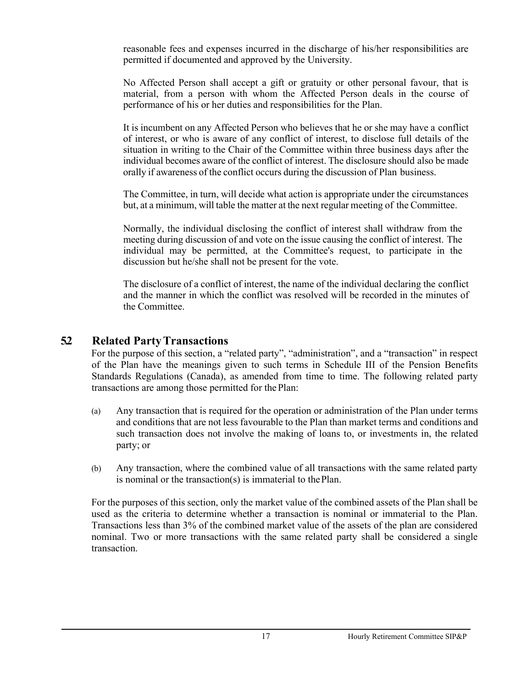reasonable fees and expenses incurred in the discharge of his/her responsibilities are permitted if documented and approved by the University.

No Affected Person shall accept a gift or gratuity or other personal favour, that is material, from a person with whom the Affected Person deals in the course of performance of his or her duties and responsibilities for the Plan.

It is incumbent on any Affected Person who believes that he or she may have a conflict of interest, or who is aware of any conflict of interest, to disclose full details of the situation in writing to the Chair of the Committee within three business days after the individual becomes aware of the conflict of interest. The disclosure should also be made orally if awareness of the conflict occurs during the discussion of Plan business.

The Committee, in turn, will decide what action is appropriate under the circumstances but, at a minimum, will table the matter at the next regular meeting of the Committee.

Normally, the individual disclosing the conflict of interest shall withdraw from the meeting during discussion of and vote on the issue causing the conflict of interest. The individual may be permitted, at the Committee's request, to participate in the discussion but he/she shall not be present for the vote.

The disclosure of a conflict of interest, the name of the individual declaring the conflict and the manner in which the conflict was resolved will be recorded in the minutes of the Committee.

## <span id="page-18-0"></span>**5.2 Related PartyTransactions**

For the purpose of this section, a "related party", "administration", and a "transaction" in respect of the Plan have the meanings given to such terms in Schedule III of the Pension Benefits Standards Regulations (Canada), as amended from time to time. The following related party transactions are among those permitted for thePlan:

- (a) Any transaction that is required for the operation or administration of the Plan under terms and conditions that are not less favourable to the Plan than market terms and conditions and such transaction does not involve the making of loans to, or investments in, the related party; or
- (b) Any transaction, where the combined value of all transactions with the same related party is nominal or the transaction(s) is immaterial to thePlan.

For the purposes of this section, only the market value of the combined assets of the Plan shall be used as the criteria to determine whether a transaction is nominal or immaterial to the Plan. Transactions less than 3% of the combined market value of the assets of the plan are considered nominal. Two or more transactions with the same related party shall be considered a single transaction.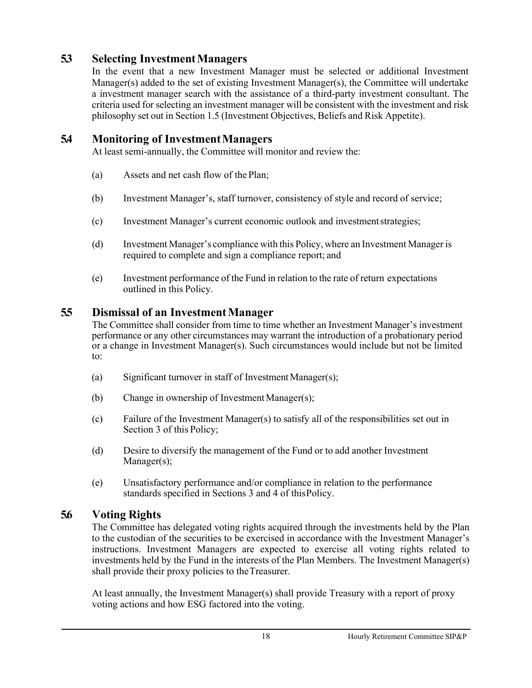# <span id="page-19-0"></span>**5.3 Selecting InvestmentManagers**

In the event that a new Investment Manager must be selected or additional Investment Manager(s) added to the set of existing Investment Manager(s), the Committee will undertake a investment manager search with the assistance of a third-party investment consultant. The criteria used for selecting an investment manager will be consistent with the investment and risk philosophy set out in Section 1.5 (Investment Objectives, Beliefs and Risk Appetite).

## <span id="page-19-1"></span>**5.4 Monitoring of InvestmentManagers**

At least semi-annually, the Committee will monitor and review the:

- (a) Assets and net cash flow of the Plan;
- (b) Investment Manager's, staff turnover, consistency of style and record of service;
- (c) Investment Manager's current economic outlook and investmentstrategies;
- (d) Investment Manager's compliance with this Policy, where an Investment Manager is required to complete and sign a compliance report; and
- (e) Investment performance of the Fund in relation to the rate of return expectations outlined in this Policy.

## <span id="page-19-2"></span>**5.5 Dismissal of an InvestmentManager**

The Committee shall consider from time to time whether an Investment Manager's investment performance or any other circumstances may warrant the introduction of a probationary period or a change in Investment Manager(s). Such circumstances would include but not be limited to:

- (a) Significant turnover in staff of Investment Manager(s);
- (b) Change in ownership of InvestmentManager(s);
- (c) Failure of the Investment Manager(s) to satisfy all of the responsibilities set out in Section 3 of this Policy;
- (d) Desire to diversify the management of the Fund or to add another Investment Manager(s);
- (e) Unsatisfactory performance and/or compliance in relation to the performance standards specified in Sections 3 and 4 of thisPolicy.

# <span id="page-19-3"></span>**5.6 Voting Rights**

The Committee has delegated voting rights acquired through the investments held by the Plan to the custodian of the securities to be exercised in accordance with the Investment Manager's instructions. Investment Managers are expected to exercise all voting rights related to investments held by the Fund in the interests of the Plan Members. The Investment Manager(s) shall provide their proxy policies to theTreasurer.

At least annually, the Investment Manager $(s)$  shall provide Treasury with a report of proxy voting actions and how ESG factored into the voting.